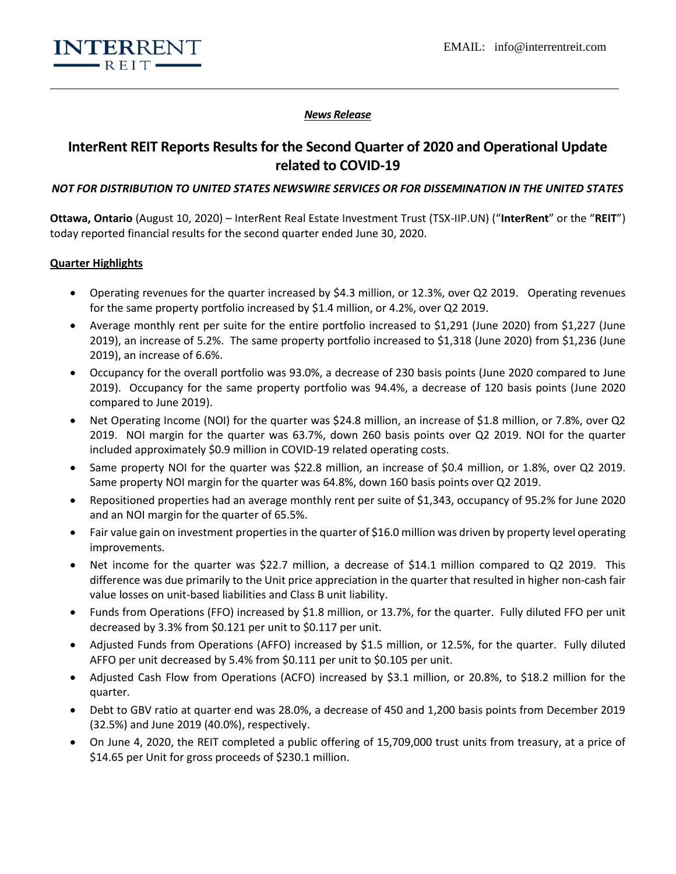

### *News Release*

# **InterRent REIT Reports Results for the Second Quarter of 2020 and Operational Update related to COVID-19**

### *NOT FOR DISTRIBUTION TO UNITED STATES NEWSWIRE SERVICES OR FOR DISSEMINATION IN THE UNITED STATES*

**Ottawa, Ontario** (August 10, 2020) – InterRent Real Estate Investment Trust (TSX-IIP.UN) ("**InterRent**" or the "**REIT**") today reported financial results for the second quarter ended June 30, 2020.

### **Quarter Highlights**

- Operating revenues for the quarter increased by \$4.3 million, or 12.3%, over Q2 2019. Operating revenues for the same property portfolio increased by \$1.4 million, or 4.2%, over Q2 2019.
- Average monthly rent per suite for the entire portfolio increased to \$1,291 (June 2020) from \$1,227 (June 2019), an increase of 5.2%. The same property portfolio increased to \$1,318 (June 2020) from \$1,236 (June 2019), an increase of 6.6%.
- Occupancy for the overall portfolio was 93.0%, a decrease of 230 basis points (June 2020 compared to June 2019). Occupancy for the same property portfolio was 94.4%, a decrease of 120 basis points (June 2020 compared to June 2019).
- Net Operating Income (NOI) for the quarter was \$24.8 million, an increase of \$1.8 million, or 7.8%, over Q2 2019. NOI margin for the quarter was 63.7%, down 260 basis points over Q2 2019. NOI for the quarter included approximately \$0.9 million in COVID-19 related operating costs.
- Same property NOI for the quarter was \$22.8 million, an increase of \$0.4 million, or 1.8%, over Q2 2019. Same property NOI margin for the quarter was 64.8%, down 160 basis points over Q2 2019.
- Repositioned properties had an average monthly rent per suite of \$1,343, occupancy of 95.2% for June 2020 and an NOI margin for the quarter of 65.5%.
- Fair value gain on investment properties in the quarter of \$16.0 million was driven by property level operating improvements.
- Net income for the quarter was \$22.7 million, a decrease of \$14.1 million compared to Q2 2019. This difference was due primarily to the Unit price appreciation in the quarter that resulted in higher non-cash fair value losses on unit-based liabilities and Class B unit liability.
- Funds from Operations (FFO) increased by \$1.8 million, or 13.7%, for the quarter. Fully diluted FFO per unit decreased by 3.3% from \$0.121 per unit to \$0.117 per unit.
- Adjusted Funds from Operations (AFFO) increased by \$1.5 million, or 12.5%, for the quarter. Fully diluted AFFO per unit decreased by 5.4% from \$0.111 per unit to \$0.105 per unit.
- Adjusted Cash Flow from Operations (ACFO) increased by \$3.1 million, or 20.8%, to \$18.2 million for the quarter.
- Debt to GBV ratio at quarter end was 28.0%, a decrease of 450 and 1,200 basis points from December 2019 (32.5%) and June 2019 (40.0%), respectively.
- On June 4, 2020, the REIT completed a public offering of 15,709,000 trust units from treasury, at a price of \$14.65 per Unit for gross proceeds of \$230.1 million.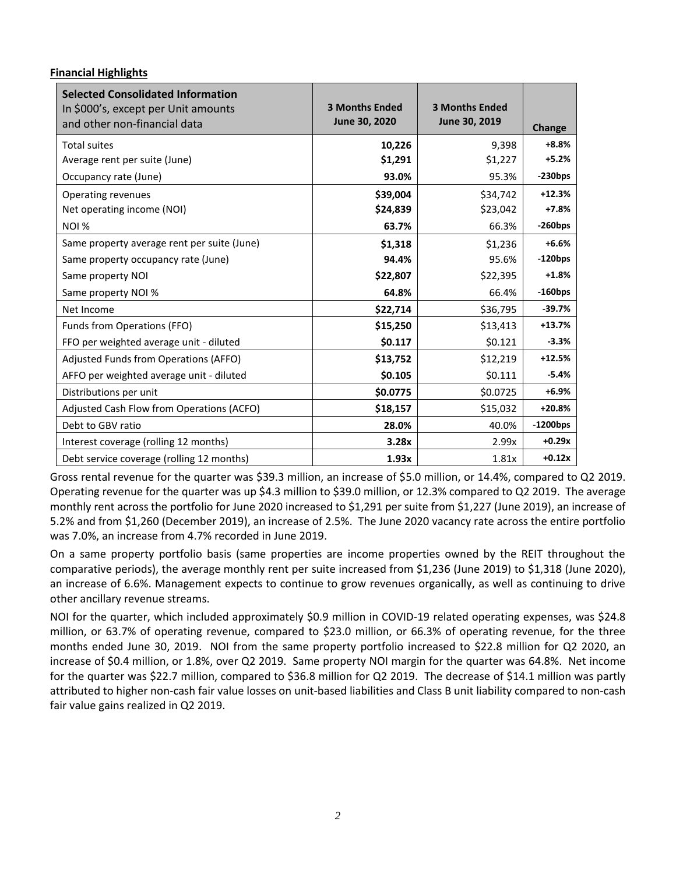### **Financial Highlights**

| <b>Selected Consolidated Information</b><br>In \$000's, except per Unit amounts<br>and other non-financial data | <b>3 Months Ended</b><br>June 30, 2020 | <b>3 Months Ended</b><br>June 30, 2019 | Change      |
|-----------------------------------------------------------------------------------------------------------------|----------------------------------------|----------------------------------------|-------------|
| <b>Total suites</b>                                                                                             | 10,226                                 | 9,398                                  | $+8.8%$     |
| Average rent per suite (June)                                                                                   | \$1,291                                | \$1,227                                | $+5.2%$     |
| Occupancy rate (June)                                                                                           | 93.0%                                  | 95.3%                                  | $-230bps$   |
| Operating revenues                                                                                              | \$39,004                               | \$34,742                               | $+12.3%$    |
| Net operating income (NOI)                                                                                      | \$24,839                               | \$23,042                               | $+7.8%$     |
| <b>NOI %</b>                                                                                                    | 63.7%                                  | 66.3%                                  | $-260$ bps  |
| Same property average rent per suite (June)                                                                     | \$1,318                                | \$1,236                                | $+6.6%$     |
| Same property occupancy rate (June)                                                                             | 94.4%                                  | 95.6%                                  | $-120bps$   |
| Same property NOI                                                                                               | \$22,807                               | \$22,395                               | $+1.8%$     |
| Same property NOI %                                                                                             | 64.8%                                  | 66.4%                                  | $-160$ bps  |
| Net Income                                                                                                      | \$22,714                               | \$36,795                               | $-39.7%$    |
| Funds from Operations (FFO)                                                                                     | \$15,250                               | \$13,413                               | $+13.7%$    |
| FFO per weighted average unit - diluted                                                                         | \$0.117                                | \$0.121                                | $-3.3%$     |
| Adjusted Funds from Operations (AFFO)                                                                           | \$13,752                               | \$12,219                               | $+12.5%$    |
| AFFO per weighted average unit - diluted                                                                        | \$0.105                                | \$0.111                                | $-5.4%$     |
| Distributions per unit                                                                                          | \$0.0775                               | \$0.0725                               | $+6.9%$     |
| Adjusted Cash Flow from Operations (ACFO)                                                                       | \$18,157                               | \$15,032                               | $+20.8%$    |
| Debt to GBV ratio                                                                                               | 28.0%                                  | 40.0%                                  | $-1200$ bps |
| Interest coverage (rolling 12 months)                                                                           | 3.28x                                  | 2.99x                                  | $+0.29x$    |
| Debt service coverage (rolling 12 months)                                                                       | 1.93x                                  | 1.81x                                  | $+0.12x$    |

Gross rental revenue for the quarter was \$39.3 million, an increase of \$5.0 million, or 14.4%, compared to Q2 2019. Operating revenue for the quarter was up \$4.3 million to \$39.0 million, or 12.3% compared to Q2 2019. The average monthly rent across the portfolio for June 2020 increased to \$1,291 per suite from \$1,227 (June 2019), an increase of 5.2% and from \$1,260 (December 2019), an increase of 2.5%. The June 2020 vacancy rate across the entire portfolio was 7.0%, an increase from 4.7% recorded in June 2019.

On a same property portfolio basis (same properties are income properties owned by the REIT throughout the comparative periods), the average monthly rent per suite increased from \$1,236 (June 2019) to \$1,318 (June 2020), an increase of 6.6%. Management expects to continue to grow revenues organically, as well as continuing to drive other ancillary revenue streams.

NOI for the quarter, which included approximately \$0.9 million in COVID-19 related operating expenses, was \$24.8 million, or 63.7% of operating revenue, compared to \$23.0 million, or 66.3% of operating revenue, for the three months ended June 30, 2019. NOI from the same property portfolio increased to \$22.8 million for Q2 2020, an increase of \$0.4 million, or 1.8%, over Q2 2019. Same property NOI margin for the quarter was 64.8%. Net income for the quarter was \$22.7 million, compared to \$36.8 million for Q2 2019. The decrease of \$14.1 million was partly attributed to higher non-cash fair value losses on unit-based liabilities and Class B unit liability compared to non-cash fair value gains realized in Q2 2019.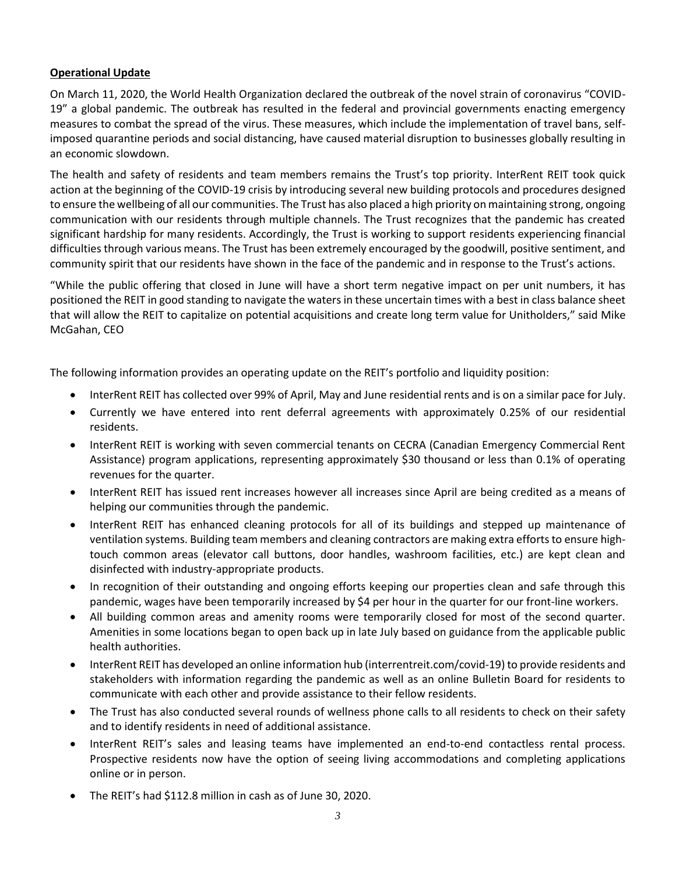## **Operational Update**

On March 11, 2020, the World Health Organization declared the outbreak of the novel strain of coronavirus "COVID-19" a global pandemic. The outbreak has resulted in the federal and provincial governments enacting emergency measures to combat the spread of the virus. These measures, which include the implementation of travel bans, selfimposed quarantine periods and social distancing, have caused material disruption to businesses globally resulting in an economic slowdown.

The health and safety of residents and team members remains the Trust's top priority. InterRent REIT took quick action at the beginning of the COVID-19 crisis by introducing several new building protocols and procedures designed to ensure the wellbeing of all our communities. The Trust has also placed a high priority on maintaining strong, ongoing communication with our residents through multiple channels. The Trust recognizes that the pandemic has created significant hardship for many residents. Accordingly, the Trust is working to support residents experiencing financial difficulties through various means. The Trust has been extremely encouraged by the goodwill, positive sentiment, and community spirit that our residents have shown in the face of the pandemic and in response to the Trust's actions.

"While the public offering that closed in June will have a short term negative impact on per unit numbers, it has positioned the REIT in good standing to navigate the waters in these uncertain times with a best in class balance sheet that will allow the REIT to capitalize on potential acquisitions and create long term value for Unitholders," said Mike McGahan, CEO

The following information provides an operating update on the REIT's portfolio and liquidity position:

- InterRent REIT has collected over 99% of April, May and June residential rents and is on a similar pace for July.
- Currently we have entered into rent deferral agreements with approximately 0.25% of our residential residents.
- InterRent REIT is working with seven commercial tenants on CECRA (Canadian Emergency Commercial Rent Assistance) program applications, representing approximately \$30 thousand or less than 0.1% of operating revenues for the quarter.
- InterRent REIT has issued rent increases however all increases since April are being credited as a means of helping our communities through the pandemic.
- InterRent REIT has enhanced cleaning protocols for all of its buildings and stepped up maintenance of ventilation systems. Building team members and cleaning contractors are making extra efforts to ensure hightouch common areas (elevator call buttons, door handles, washroom facilities, etc.) are kept clean and disinfected with industry-appropriate products.
- In recognition of their outstanding and ongoing efforts keeping our properties clean and safe through this pandemic, wages have been temporarily increased by \$4 per hour in the quarter for our front-line workers.
- All building common areas and amenity rooms were temporarily closed for most of the second quarter. Amenities in some locations began to open back up in late July based on guidance from the applicable public health authorities.
- InterRent REIT has developed an online information hub (interrentreit.com/covid-19) to provide residents and stakeholders with information regarding the pandemic as well as an online Bulletin Board for residents to communicate with each other and provide assistance to their fellow residents.
- The Trust has also conducted several rounds of wellness phone calls to all residents to check on their safety and to identify residents in need of additional assistance.
- InterRent REIT's sales and leasing teams have implemented an end-to-end contactless rental process. Prospective residents now have the option of seeing living accommodations and completing applications online or in person.
- The REIT's had \$112.8 million in cash as of June 30, 2020.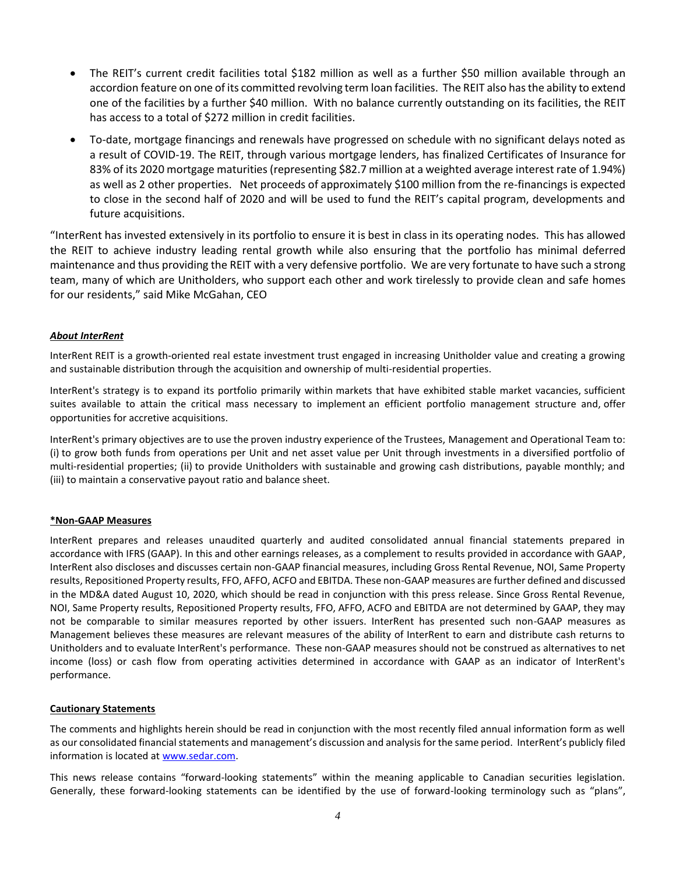- The REIT's current credit facilities total \$182 million as well as a further \$50 million available through an accordion feature on one of its committed revolving term loan facilities. The REIT also has the ability to extend one of the facilities by a further \$40 million. With no balance currently outstanding on its facilities, the REIT has access to a total of \$272 million in credit facilities.
- To-date, mortgage financings and renewals have progressed on schedule with no significant delays noted as a result of COVID-19. The REIT, through various mortgage lenders, has finalized Certificates of Insurance for 83% of its 2020 mortgage maturities (representing \$82.7 million at a weighted average interest rate of 1.94%) as well as 2 other properties. Net proceeds of approximately \$100 million from the re-financings is expected to close in the second half of 2020 and will be used to fund the REIT's capital program, developments and future acquisitions.

"InterRent has invested extensively in its portfolio to ensure it is best in class in its operating nodes. This has allowed the REIT to achieve industry leading rental growth while also ensuring that the portfolio has minimal deferred maintenance and thus providing the REIT with a very defensive portfolio. We are very fortunate to have such a strong team, many of which are Unitholders, who support each other and work tirelessly to provide clean and safe homes for our residents," said Mike McGahan, CEO

### *About InterRent*

InterRent REIT is a growth-oriented real estate investment trust engaged in increasing Unitholder value and creating a growing and sustainable distribution through the acquisition and ownership of multi-residential properties.

InterRent's strategy is to expand its portfolio primarily within markets that have exhibited stable market vacancies, sufficient suites available to attain the critical mass necessary to implement an efficient portfolio management structure and, offer opportunities for accretive acquisitions.

InterRent's primary objectives are to use the proven industry experience of the Trustees, Management and Operational Team to: (i) to grow both funds from operations per Unit and net asset value per Unit through investments in a diversified portfolio of multi-residential properties; (ii) to provide Unitholders with sustainable and growing cash distributions, payable monthly; and (iii) to maintain a conservative payout ratio and balance sheet.

#### **\*Non-GAAP Measures**

InterRent prepares and releases unaudited quarterly and audited consolidated annual financial statements prepared in accordance with IFRS (GAAP). In this and other earnings releases, as a complement to results provided in accordance with GAAP, InterRent also discloses and discusses certain non-GAAP financial measures, including Gross Rental Revenue, NOI, Same Property results, Repositioned Property results, FFO, AFFO, ACFO and EBITDA. These non-GAAP measures are further defined and discussed in the MD&A dated August 10, 2020, which should be read in conjunction with this press release. Since Gross Rental Revenue, NOI, Same Property results, Repositioned Property results, FFO, AFFO, ACFO and EBITDA are not determined by GAAP, they may not be comparable to similar measures reported by other issuers. InterRent has presented such non-GAAP measures as Management believes these measures are relevant measures of the ability of InterRent to earn and distribute cash returns to Unitholders and to evaluate InterRent's performance. These non-GAAP measures should not be construed as alternatives to net income (loss) or cash flow from operating activities determined in accordance with GAAP as an indicator of InterRent's performance.

#### **Cautionary Statements**

The comments and highlights herein should be read in conjunction with the most recently filed annual information form as well as our consolidated financial statements and management's discussion and analysis for the same period. InterRent's publicly filed information is located at [www.sedar.com.](http://www.sedar.com/)

This news release contains "forward-looking statements" within the meaning applicable to Canadian securities legislation. Generally, these forward-looking statements can be identified by the use of forward-looking terminology such as "plans",